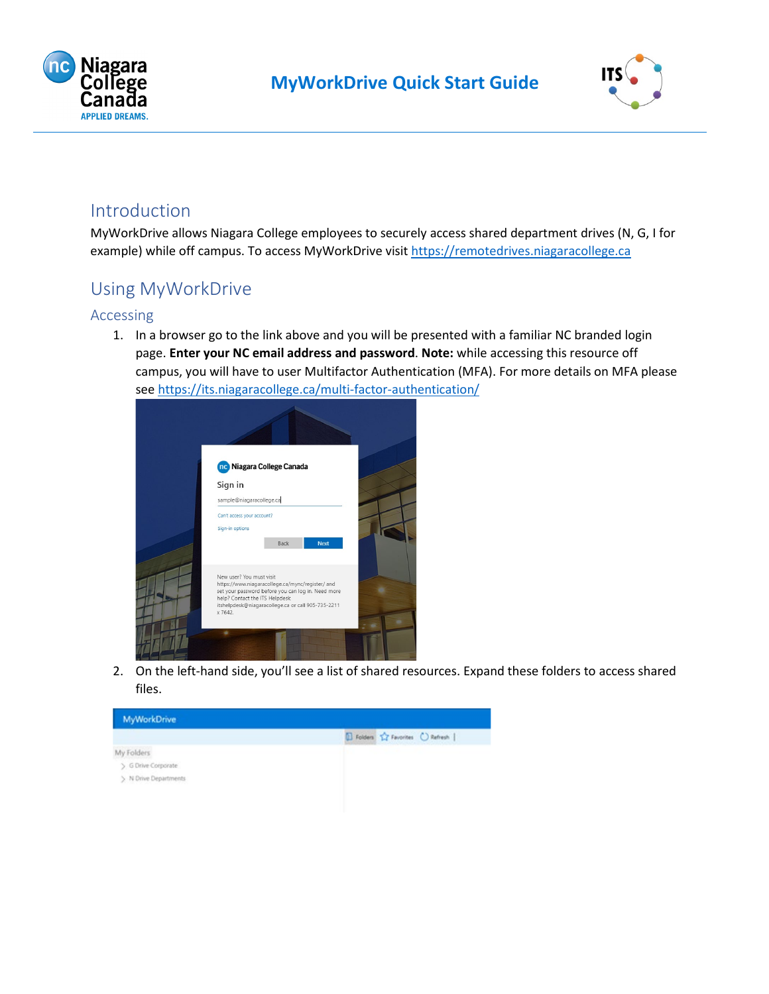



### Introduction

MyWorkDrive allows Niagara College employees to securely access shared department drives (N, G, I for example) while off campus. To access MyWorkDrive visi[t https://remotedrives.niagaracollege.ca](https://remotedrives.niagaracollege.ca/)

## Using MyWorkDrive

#### Accessing

1. In a browser go to the link above and you will be presented with a familiar NC branded login page. **Enter your NC email address and password**. **Note:** while accessing this resource off campus, you will have to user Multifactor Authentication (MFA). For more details on MFA please see <https://its.niagaracollege.ca/multi-factor-authentication/>

| <b>ne</b> Niagara College Canada                                                                                                           |
|--------------------------------------------------------------------------------------------------------------------------------------------|
|                                                                                                                                            |
| sample@niagaracollege.ca                                                                                                                   |
| Can't access your account?                                                                                                                 |
|                                                                                                                                            |
| <b>Next</b><br>Back                                                                                                                        |
| New user? You must visit<br>https://www.niagaracollege.ca/mync/register/ and                                                               |
| set your password before you can log in. Need more<br>help? Contact the ITS Helpdesk<br>itshelpdesk@niagaracollege.ca or call 905-735-2211 |
|                                                                                                                                            |

2. On the left-hand side, you'll see a list of shared resources. Expand these folders to access shared files.